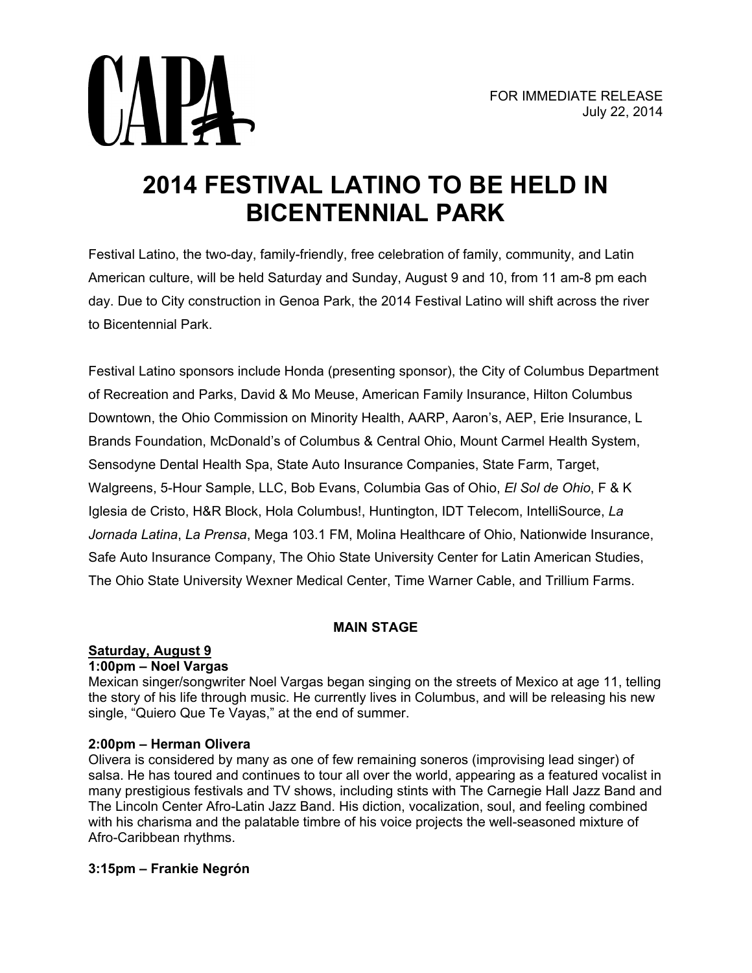

# **2014 FESTIVAL LATINO TO BE HELD IN BICENTENNIAL PARK**

Festival Latino, the two-day, family-friendly, free celebration of family, community, and Latin American culture, will be held Saturday and Sunday, August 9 and 10, from 11 am-8 pm each day. Due to City construction in Genoa Park, the 2014 Festival Latino will shift across the river to Bicentennial Park.

Festival Latino sponsors include Honda (presenting sponsor), the City of Columbus Department of Recreation and Parks, David & Mo Meuse, American Family Insurance, Hilton Columbus Downtown, the Ohio Commission on Minority Health, AARP, Aaron's, AEP, Erie Insurance, L Brands Foundation, McDonald's of Columbus & Central Ohio, Mount Carmel Health System, Sensodyne Dental Health Spa, State Auto Insurance Companies, State Farm, Target, Walgreens, 5-Hour Sample, LLC, Bob Evans, Columbia Gas of Ohio, *El Sol de Ohio*, F & K Iglesia de Cristo, H&R Block, Hola Columbus!, Huntington, IDT Telecom, IntelliSource, *La Jornada Latina*, *La Prensa*, Mega 103.1 FM, Molina Healthcare of Ohio, Nationwide Insurance, Safe Auto Insurance Company, The Ohio State University Center for Latin American Studies, The Ohio State University Wexner Medical Center, Time Warner Cable, and Trillium Farms.

# **MAIN STAGE**

# **Saturday, August 9**

#### **1:00pm – Noel Vargas**

Mexican singer/songwriter Noel Vargas began singing on the streets of Mexico at age 11, telling the story of his life through music. He currently lives in Columbus, and will be releasing his new single, "Quiero Que Te Vayas," at the end of summer.

#### **2:00pm – Herman Olivera**

Olivera is considered by many as one of few remaining soneros (improvising lead singer) of salsa. He has toured and continues to tour all over the world, appearing as a featured vocalist in many prestigious festivals and TV shows, including stints with The Carnegie Hall Jazz Band and The Lincoln Center Afro-Latin Jazz Band. His diction, vocalization, soul, and feeling combined with his charisma and the palatable timbre of his voice projects the well-seasoned mixture of Afro-Caribbean rhythms.

#### **3:15pm – Frankie Negrón**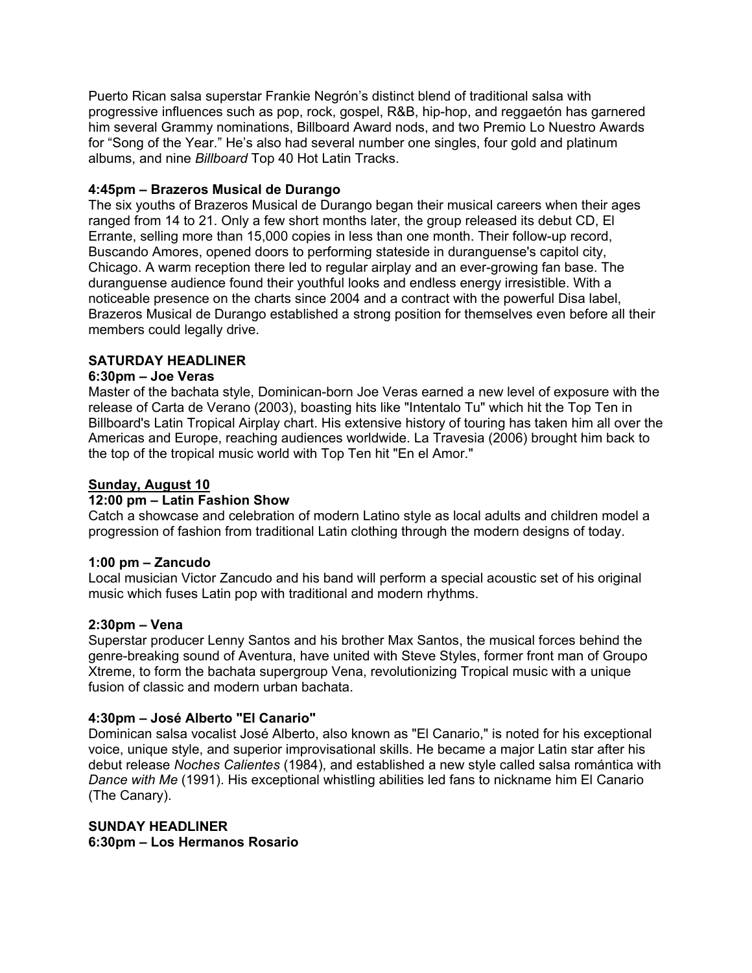Puerto Rican salsa superstar Frankie Negrón's distinct blend of traditional salsa with progressive influences such as pop, rock, gospel, R&B, hip-hop, and reggaetón has garnered him several Grammy nominations, Billboard Award nods, and two Premio Lo Nuestro Awards for "Song of the Year." He's also had several number one singles, four gold and platinum albums, and nine *Billboard* Top 40 Hot Latin Tracks.

#### **4:45pm – Brazeros Musical de Durango**

The six youths of Brazeros Musical de Durango began their musical careers when their ages ranged from 14 to 21. Only a few short months later, the group released its debut CD, El Errante, selling more than 15,000 copies in less than one month. Their follow-up record, Buscando Amores, opened doors to performing stateside in duranguense's capitol city, Chicago. A warm reception there led to regular airplay and an ever-growing fan base. The duranguense audience found their youthful looks and endless energy irresistible. With a noticeable presence on the charts since 2004 and a contract with the powerful Disa label, Brazeros Musical de Durango established a strong position for themselves even before all their members could legally drive.

## **SATURDAY HEADLINER**

#### **6:30pm – Joe Veras**

Master of the bachata style, Dominican-born Joe Veras earned a new level of exposure with the release of Carta de Verano (2003), boasting hits like "Intentalo Tu" which hit the Top Ten in Billboard's Latin Tropical Airplay chart. His extensive history of touring has taken him all over the Americas and Europe, reaching audiences worldwide. La Travesia (2006) brought him back to the top of the tropical music world with Top Ten hit "En el Amor."

## **Sunday, August 10**

#### **12:00 pm – Latin Fashion Show**

Catch a showcase and celebration of modern Latino style as local adults and children model a progression of fashion from traditional Latin clothing through the modern designs of today.

#### **1:00 pm – Zancudo**

Local musician Victor Zancudo and his band will perform a special acoustic set of his original music which fuses Latin pop with traditional and modern rhythms.

#### **2:30pm – Vena**

Superstar producer Lenny Santos and his brother Max Santos, the musical forces behind the genre-breaking sound of Aventura, have united with Steve Styles, former front man of Groupo Xtreme, to form the bachata supergroup Vena, revolutionizing Tropical music with a unique fusion of classic and modern urban bachata.

#### **4:30pm – José Alberto "El Canario"**

Dominican salsa vocalist José Alberto, also known as "El Canario," is noted for his exceptional voice, unique style, and superior improvisational skills. He became a major Latin star after his debut release *Noches Calientes* (1984), and established a new style called salsa romántica with *Dance with Me* (1991). His exceptional whistling abilities led fans to nickname him El Canario (The Canary).

## **SUNDAY HEADLINER 6:30pm – Los Hermanos Rosario**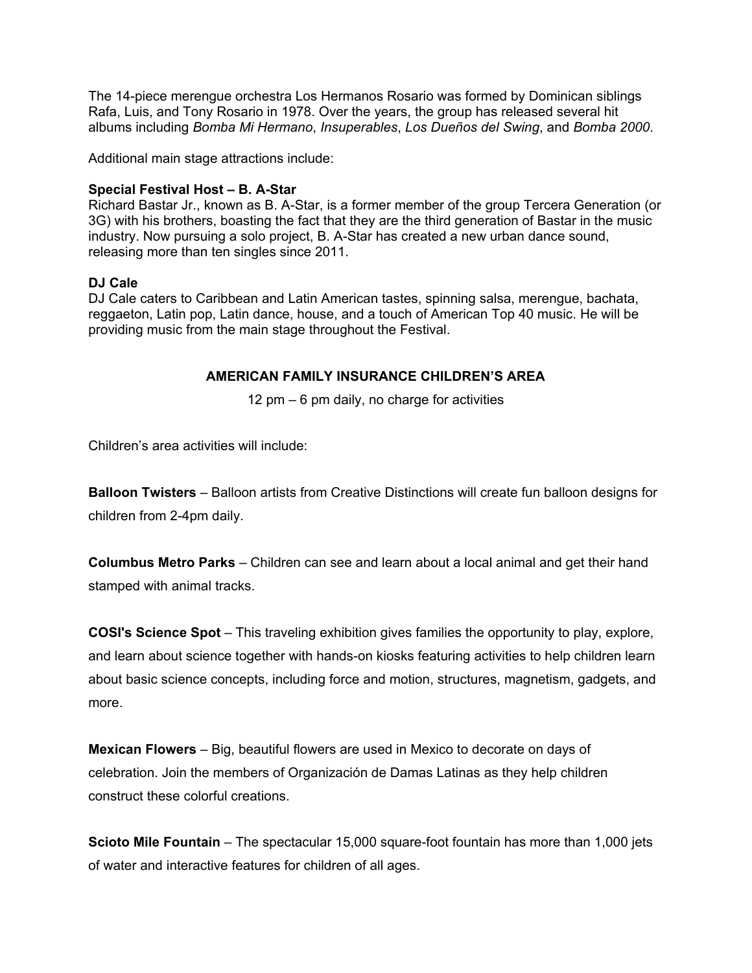The 14-piece merengue orchestra Los Hermanos Rosario was formed by Dominican siblings Rafa, Luis, and Tony Rosario in 1978. Over the years, the group has released several hit albums including *Bomba Mi Hermano*, *Insuperables*, *Los Dueños del Swing*, and *Bomba 2000*.

Additional main stage attractions include:

#### **Special Festival Host – B. A-Star**

Richard Bastar Jr., known as B. A-Star, is a former member of the group Tercera Generation (or 3G) with his brothers, boasting the fact that they are the third generation of Bastar in the music industry. Now pursuing a solo project, B. A-Star has created a new urban dance sound, releasing more than ten singles since 2011.

#### **DJ Cale**

DJ Cale caters to Caribbean and Latin American tastes, spinning salsa, merengue, bachata, reggaeton, Latin pop, Latin dance, house, and a touch of American Top 40 music. He will be providing music from the main stage throughout the Festival.

#### **AMERICAN FAMILY INSURANCE CHILDREN'S AREA**

12 pm – 6 pm daily, no charge for activities

Children's area activities will include:

**Balloon Twisters** – Balloon artists from Creative Distinctions will create fun balloon designs for children from 2-4pm daily.

**Columbus Metro Parks** – Children can see and learn about a local animal and get their hand stamped with animal tracks.

**COSI's Science Spot** – This traveling exhibition gives families the opportunity to play, explore, and learn about science together with hands-on kiosks featuring activities to help children learn about basic science concepts, including force and motion, structures, magnetism, gadgets, and more.

**Mexican Flowers** – Big, beautiful flowers are used in Mexico to decorate on days of celebration. Join the members of Organización de Damas Latinas as they help children construct these colorful creations.

**Scioto Mile Fountain** – The spectacular 15,000 square-foot fountain has more than 1,000 jets of water and interactive features for children of all ages.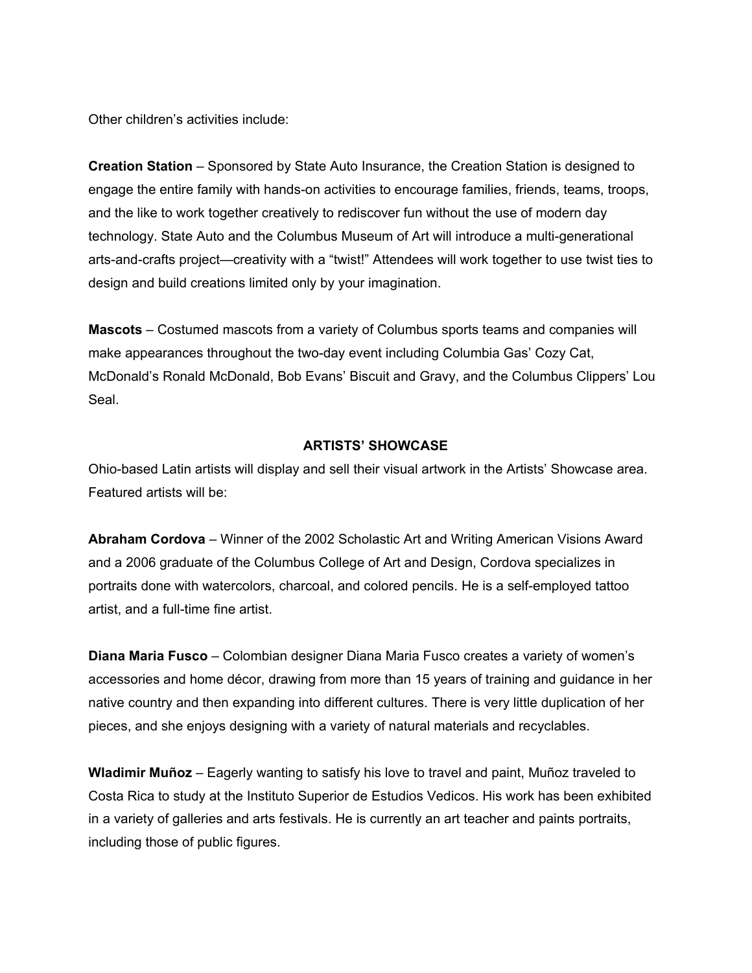Other children's activities include:

**Creation Station** – Sponsored by State Auto Insurance, the Creation Station is designed to engage the entire family with hands-on activities to encourage families, friends, teams, troops, and the like to work together creatively to rediscover fun without the use of modern day technology. State Auto and the Columbus Museum of Art will introduce a multi-generational arts-and-crafts project—creativity with a "twist!" Attendees will work together to use twist ties to design and build creations limited only by your imagination.

**Mascots** – Costumed mascots from a variety of Columbus sports teams and companies will make appearances throughout the two-day event including Columbia Gas' Cozy Cat, McDonald's Ronald McDonald, Bob Evans' Biscuit and Gravy, and the Columbus Clippers' Lou Seal.

## **ARTISTS' SHOWCASE**

Ohio-based Latin artists will display and sell their visual artwork in the Artists' Showcase area. Featured artists will be:

**Abraham Cordova** – Winner of the 2002 Scholastic Art and Writing American Visions Award and a 2006 graduate of the Columbus College of Art and Design, Cordova specializes in portraits done with watercolors, charcoal, and colored pencils. He is a self-employed tattoo artist, and a full-time fine artist.

**Diana Maria Fusco** – Colombian designer Diana Maria Fusco creates a variety of women's accessories and home décor, drawing from more than 15 years of training and guidance in her native country and then expanding into different cultures. There is very little duplication of her pieces, and she enjoys designing with a variety of natural materials and recyclables.

**Wladimir Muñoz** – Eagerly wanting to satisfy his love to travel and paint, Muñoz traveled to Costa Rica to study at the Instituto Superior de Estudios Vedicos. His work has been exhibited in a variety of galleries and arts festivals. He is currently an art teacher and paints portraits, including those of public figures.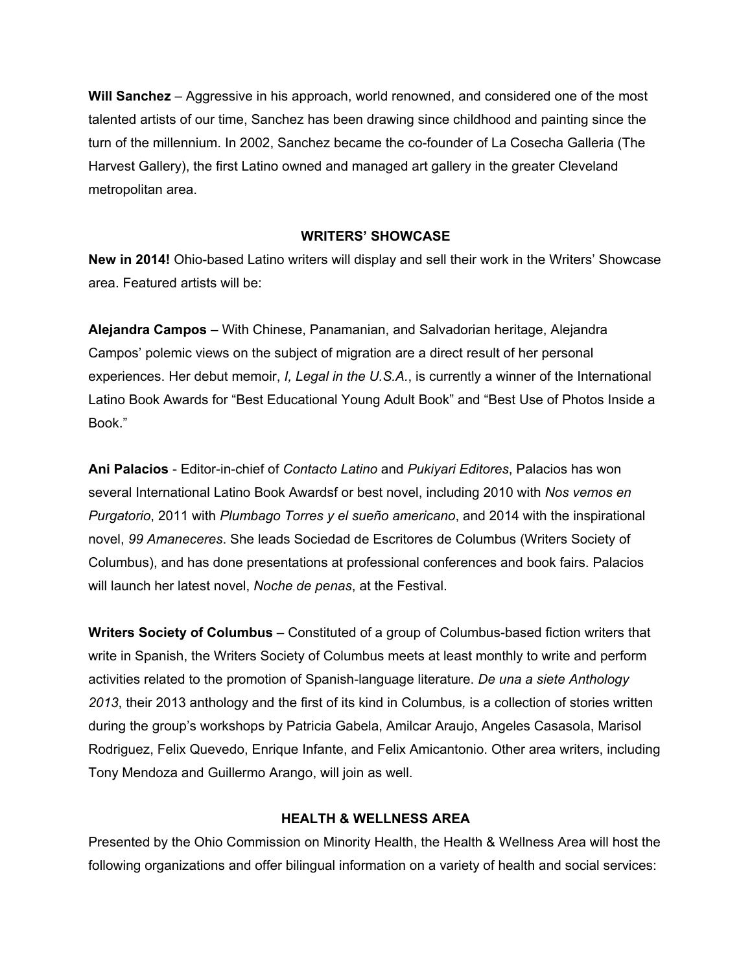**Will Sanchez** – Aggressive in his approach, world renowned, and considered one of the most talented artists of our time, Sanchez has been drawing since childhood and painting since the turn of the millennium. In 2002, Sanchez became the co-founder of La Cosecha Galleria (The Harvest Gallery), the first Latino owned and managed art gallery in the greater Cleveland metropolitan area.

#### **WRITERS' SHOWCASE**

**New in 2014!** Ohio-based Latino writers will display and sell their work in the Writers' Showcase area. Featured artists will be:

**Alejandra Campos** – With Chinese, Panamanian, and Salvadorian heritage, Alejandra Campos' polemic views on the subject of migration are a direct result of her personal experiences. Her debut memoir, *I, Legal in the U.S.A.*, is currently a winner of the International Latino Book Awards for "Best Educational Young Adult Book" and "Best Use of Photos Inside a Book."

**Ani Palacios** - Editor-in-chief of *Contacto Latino* and *Pukiyari Editores*, Palacios has won several International Latino Book Awardsf or best novel, including 2010 with *Nos vemos en Purgatorio*, 2011 with *Plumbago Torres y el sueño americano*, and 2014 with the inspirational novel, *99 Amaneceres*. She leads Sociedad de Escritores de Columbus (Writers Society of Columbus), and has done presentations at professional conferences and book fairs. Palacios will launch her latest novel, *Noche de penas*, at the Festival.

**Writers Society of Columbus** – Constituted of a group of Columbus-based fiction writers that write in Spanish, the Writers Society of Columbus meets at least monthly to write and perform activities related to the promotion of Spanish-language literature. *De una a siete Anthology 2013*, their 2013 anthology and the first of its kind in Columbus*,* is a collection of stories written during the group's workshops by Patricia Gabela, Amilcar Araujo, Angeles Casasola, Marisol Rodriguez, Felix Quevedo, Enrique Infante, and Felix Amicantonio. Other area writers, including Tony Mendoza and Guillermo Arango, will join as well.

#### **HEALTH & WELLNESS AREA**

Presented by the Ohio Commission on Minority Health, the Health & Wellness Area will host the following organizations and offer bilingual information on a variety of health and social services: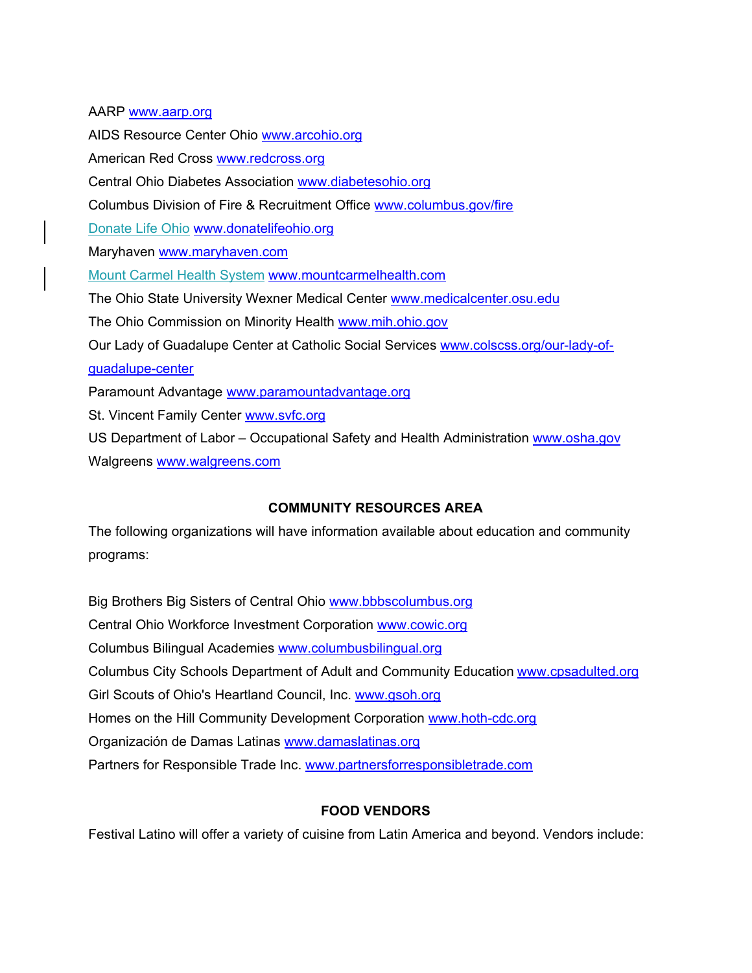AARP [www.aarp.org](http://www.aarp.org/)  AIDS Resource Center Ohio [www.arcohio.org](http://www.arcohio.org/)  American Red Cross [www.redcross.org](http://www.redcross.org/)  Central Ohio Diabetes Association [www.diabetesohio.org](http://www.diabetesohio.org/)  Columbus Division of Fire & Recruitment Office [www.columbus.gov/fire](http://www.columbus.gov/fire)  Donate Life Ohio [www.donatelifeohio.org](http://www.donatelifeohio.org/)  Maryhaven www.maryhaven.com Mount Carmel Health System [www.mountcarmelhealth.com](http://www.mountcarmelhealth.com/)  The Ohio State University Wexner Medical Center [www.medicalcenter.osu.edu](http://www.medicalcenter.osu.edu/)  The Ohio Commission on Minority Health www.mih.ohio.gov Our Lady of Guadalupe Center at Catholic Social Services [www.colscss.org/our-lady-of](http://www.colscss.org/our-lady-of-guadalupe-center)[guadalupe-center](http://www.colscss.org/our-lady-of-guadalupe-center)  Paramount Advantage [www.paramountadvantage.org](http://www.paramountadvantage.org/)  St. Vincent Family Center [www.svfc.org](http://www.svfc.org/)  US Department of Labor - Occupational Safety and Health Administration www.osha.gov Walgreens [www.walgreens.com](http://www.walgreens.com/) 

# **COMMUNITY RESOURCES AREA**

The following organizations will have information available about education and community programs:

Big Brothers Big Sisters of Central Ohio [www.bbbscolumbus.org](http://www.bbbscolumbus.org/)  Central Ohio Workforce Investment Corporation [www.cowic.org](http://www.cowic.org/)  Columbus Bilingual Academies [www.columbusbilingual.org](http://www.columbusbilingual.org/) Columbus City Schools Department of Adult and Community Education [www.cpsadulted.org](http://www.cpsadulted.org/) Girl Scouts of Ohio's Heartland Council, Inc. [www.gsoh.org](http://www.gsoh.org/)  Homes on the Hill Community Development Corporation www.hoth-cdc.org Organización de Damas Latinas [www.damaslatinas.org](http://www.damaslatinas.org/) Partners for Responsible Trade Inc. [www.partnersforresponsibletrade.com](http://www.partnersforresponsibletrade.com/) 

# **FOOD VENDORS**

Festival Latino will offer a variety of cuisine from Latin America and beyond. Vendors include: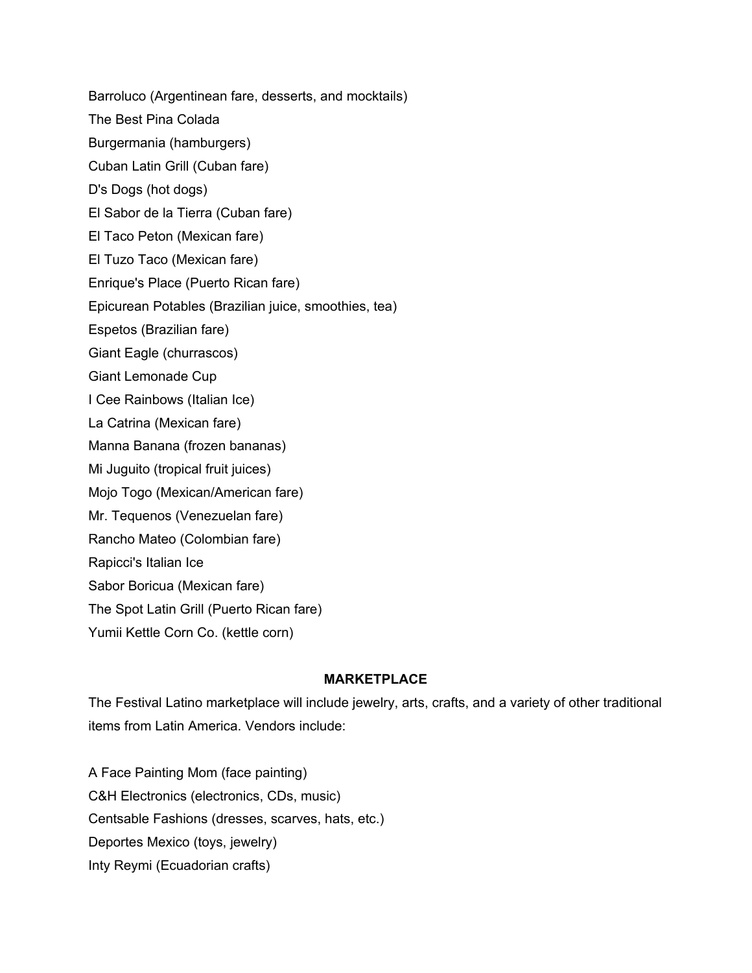Barroluco (Argentinean fare, desserts, and mocktails) The Best Pina Colada Burgermania (hamburgers) Cuban Latin Grill (Cuban fare) D's Dogs (hot dogs) El Sabor de la Tierra (Cuban fare) El Taco Peton (Mexican fare) El Tuzo Taco (Mexican fare) Enrique's Place (Puerto Rican fare) Epicurean Potables (Brazilian juice, smoothies, tea) Espetos (Brazilian fare) Giant Eagle (churrascos) Giant Lemonade Cup I Cee Rainbows (Italian Ice) La Catrina (Mexican fare) Manna Banana (frozen bananas) Mi Juguito (tropical fruit juices) Mojo Togo (Mexican/American fare) Mr. Tequenos (Venezuelan fare) Rancho Mateo (Colombian fare) Rapicci's Italian Ice Sabor Boricua (Mexican fare) The Spot Latin Grill (Puerto Rican fare) Yumii Kettle Corn Co. (kettle corn)

# **MARKETPLACE**

The Festival Latino marketplace will include jewelry, arts, crafts, and a variety of other traditional items from Latin America. Vendors include:

A Face Painting Mom (face painting) C&H Electronics (electronics, CDs, music) Centsable Fashions (dresses, scarves, hats, etc.) Deportes Mexico (toys, jewelry) Inty Reymi (Ecuadorian crafts)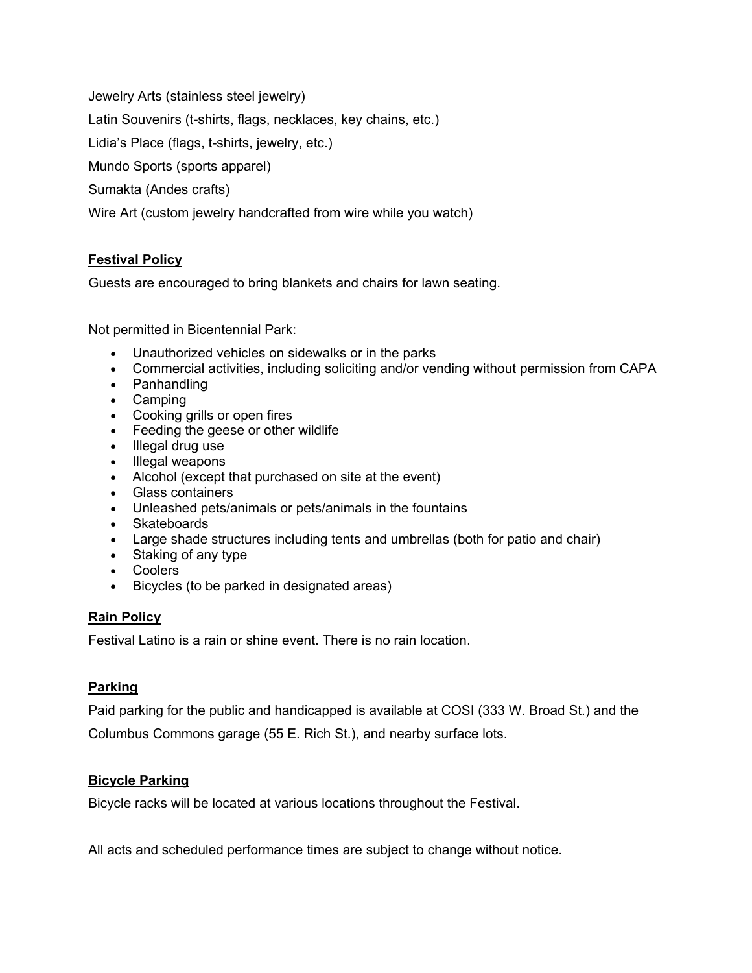Jewelry Arts (stainless steel jewelry)

Latin Souvenirs (t-shirts, flags, necklaces, key chains, etc.)

Lidia's Place (flags, t-shirts, jewelry, etc.)

Mundo Sports (sports apparel)

Sumakta (Andes crafts)

Wire Art (custom jewelry handcrafted from wire while you watch)

# **Festival Policy**

Guests are encouraged to bring blankets and chairs for lawn seating.

Not permitted in Bicentennial Park:

- Unauthorized vehicles on sidewalks or in the parks
- Commercial activities, including soliciting and/or vending without permission from CAPA
- Panhandling
- Camping
- Cooking grills or open fires
- Feeding the geese or other wildlife
- Illegal drug use
- Illegal weapons
- Alcohol (except that purchased on site at the event)
- Glass containers
- Unleashed pets/animals or pets/animals in the fountains
- Skateboards
- Large shade structures including tents and umbrellas (both for patio and chair)
- Staking of any type
- Coolers
- Bicycles (to be parked in designated areas)

# **Rain Policy**

Festival Latino is a rain or shine event. There is no rain location.

# **Parking**

Paid parking for the public and handicapped is available at COSI (333 W. Broad St.) and the Columbus Commons garage (55 E. Rich St.), and nearby surface lots.

# **Bicycle Parking**

Bicycle racks will be located at various locations throughout the Festival.

All acts and scheduled performance times are subject to change without notice.